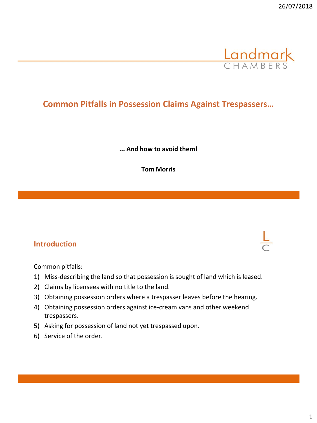

## **Common Pitfalls in Possession Claims Against Trespassers…**

**... And how to avoid them!**

**Tom Morris**

### **Introduction**

Common pitfalls:

- 1) Miss-describing the land so that possession is sought of land which is leased.
- 2) Claims by licensees with no title to the land.
- 3) Obtaining possession orders where a trespasser leaves before the hearing.
- 4) Obtaining possession orders against ice-cream vans and other weekend trespassers.
- 5) Asking for possession of land not yet trespassed upon.
- 6) Service of the order.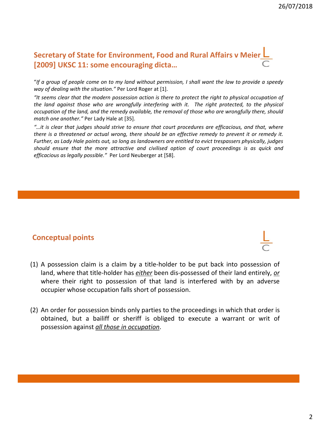# **Secretary of State for Environment, Food and Rural Affairs v Meier [2009] UKSC 11: some encouraging dicta…**

"If a group of people come on to my land without permission, I shall want the law to provide a speedy *way of dealing with the situation."* Per Lord Roger at [1].

"It seems clear that the modern possession action is there to protect the right to physical occupation of *the land against those who are wrongfully interfering with it. The right protected, to the physical occupation of the land, and the remedy available, the removal of those who are wrongfully there, should match one another."* Per Lady Hale at [35].

it is clear that judges should strive to ensure that court procedures are efficacious, and that, where..." there is a threatened or actual wrong, there should be an effective remedy to prevent it or remedy it. Further, as Lady Hale points out, so long as landowners are entitled to evict trespassers physically, judges *should ensure that the more attractive and civilised option of court proceedings is as quick and efficacious as legally possible."* Per Lord Neuberger at [58].

## **Conceptual points**

- (1) A possession claim is a claim by a title-holder to be put back into possession of land, where that title-holder has *either* been dis-possessed of their land entirely, *or* where their right to possession of that land is interfered with by an adverse occupier whose occupation falls short of possession.
- (2) An order for possession binds only parties to the proceedings in which that order is obtained, but a bailiff or sheriff is obliged to execute a warrant or writ of possession against *all those in occupation*.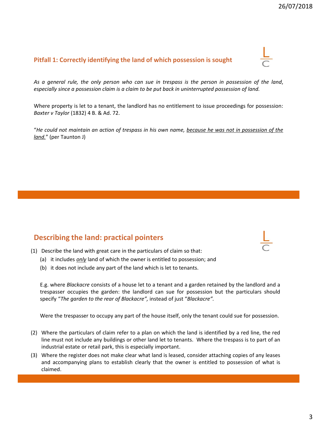#### **Pitfall 1: Correctly identifying the land of which possession is sought**

As a general rule, the only person who can sue in trespass is the person in possession of the land, *especially since a possession claim is a claim to be put back in uninterrupted possession of land.*

Where property is let to a tenant, the landlord has no entitlement to issue proceedings for possession: *Baxter v Taylor* (1832) 4 B. & Ad. 72.

"He could not maintain an action of trespass in his own name, because he was not in possession of the *land.*" (per Taunton J)

### **Describing the land: practical pointers**

- (1) Describe the land with great care in the particulars of claim so that:
	- (a) it includes *only* land of which the owner is entitled to possession; and
	- (b) it does not include any part of the land which is let to tenants.

E.g. where *Blackacre* consists of a house let to a tenant and a garden retained by the landlord and a trespasser occupies the garden: the landlord can sue for possession but the particulars should specify "*The garden to the rear of Blackacre",* instead of just "*Blackacre".*

Were the trespasser to occupy any part of the house itself, only the tenant could sue for possession.

- (2) Where the particulars of claim refer to a plan on which the land is identified by a red line, the red line must not include any buildings or other land let to tenants. Where the trespass is to part of an industrial estate or retail park, this is especially important.
- (3) Where the register does not make clear what land is leased, consider attaching copies of any leases and accompanying plans to establish clearly that the owner is entitled to possession of what is claimed.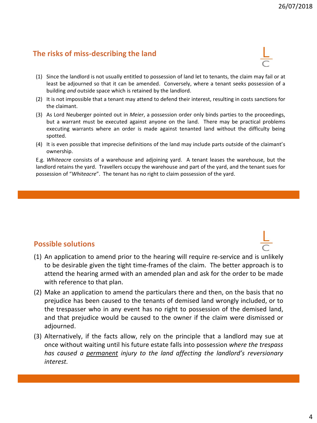### **The risks of miss-describing the land**



- (1) Since the landlord is not usually entitled to possession of land let to tenants, the claim may fail or at least be adjourned so that it can be amended. Conversely, where a tenant seeks possession of a building *and* outside space which is retained by the landlord.
- (2) It is not impossible that a tenant may attend to defend their interest, resulting in costs sanctions for the claimant.
- (3) As Lord Neuberger pointed out in *Meier*, a possession order only binds parties to the proceedings, but a warrant must be executed against anyone on the land. There may be practical problems executing warrants where an order is made against tenanted land without the difficulty being spotted.
- (4) It is even possible that imprecise definitions of the land may include parts outside of the claimant's ownership.

E.g. *Whiteacre* consists of a warehouse and adjoining yard. A tenant leases the warehouse, but the landlord retains the yard. Travellers occupy the warehouse and part of the yard, and the tenant sues for possession of "*Whiteacre*". The tenant has no right to claim possession of the yard.

### **Possible solutions**

- 
- (1) An application to amend prior to the hearing will require re-service and is unlikely to be desirable given the tight time-frames of the claim. The better approach is to attend the hearing armed with an amended plan and ask for the order to be made with reference to that plan.
- (2) Make an application to amend the particulars there and then, on the basis that no prejudice has been caused to the tenants of demised land wrongly included, or to the trespasser who in any event has no right to possession of the demised land, and that prejudice would be caused to the owner if the claim were dismissed or adjourned.
- (3) Alternatively, if the facts allow, rely on the principle that a landlord may sue at once without waiting until his future estate falls into possession *where the trespass has caused a permanent injury to the land affecting the landlord's reversionary interest.*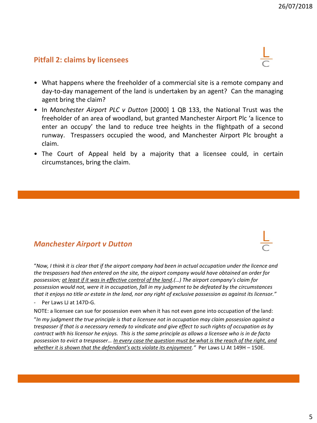#### **Pitfall 2: claims by licensees**



- What happens where the freeholder of a commercial site is a remote company and day-to-day management of the land is undertaken by an agent? Can the managing agent bring the claim?
- In *Manchester Airport PLC v Dutton* [2000] 1 QB 133, the National Trust was the freeholder of an area of woodland, but granted Manchester Airport Plc 'a licence to enter an occupy' the land to reduce tree heights in the flightpath of a second runway. Trespassers occupied the wood, and Manchester Airport Plc brought a claim.
- The Court of Appeal held by a majority that a licensee could, in certain circumstances, bring the claim.

### *Manchester Airport v Dutton*

"*Now, I think it is clear that if the airport company had been in actual occupation under the licence and the trespassers had then entered on the site, the airport company would have obtained an order for possession; at least if it was in effective control of the land.(…) The airport company's claim for possession would not, were it in occupation, fall in my judgment to be defeated by the circumstances that it enjoys no title or estate in the land, nor any right of exclusive possession as against its licensor."*

Per Laws LJ at 147D-G.

NOTE: a licensee can sue for possession even when it has not even gone into occupation of the land:

"*In my judgment the true principle is that a licensee not in occupation may claim possession against a trespasser if that is a necessary remedy to vindicate and give effect to such rights of occupation as by contract with his licensor he enjoys. This is the same principle as allows a licensee who is in de facto possession to evict a trespasser… In every case the question must be what is the reach of the right, and whether it is shown that the defendant's acts violate its enjoyment."* Per Laws LJ At 149H – 150E.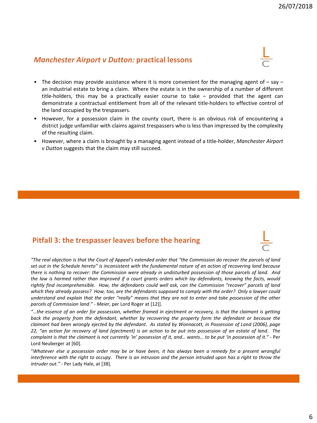## *Manchester Airport v Dutton:* **practical lessons**



- The decision may provide assistance where it is more convenient for the managing agent of  $-$  say  $$ an industrial estate to bring a claim. Where the estate is in the ownership of a number of different title-holders, this may be a practically easier course to take – provided that the agent can demonstrate a contractual entitlement from all of the relevant title-holders to effective control of the land occupied by the trespassers.
- However, for a possession claim in the county court, there is an obvious risk of encountering a district judge unfamiliar with claims against trespassers who is less than impressed by the complexity of the resulting claim.
- However, where a claim is brought by a managing agent instead of a title-holder, *Manchester Airport v Dutton* suggests that the claim may still succeed.

### **Pitfall 3: the trespasser leaves before the hearing**

"The real objection is that the Court of Appeal's extended order that "the Commission do recover the parcels of land set out in the Schedule hereto" is inconsistent with the fundamental nature of an action of recovering land because there is nothing to recover: the Commission were already in undisturbed possession of those parcels of land. And the law is harmed rather than improved if a court grants orders which lay defendants, knowing the facts, would *rightly find incomprehensible. How, the defendants could well ask, can the Commission "recover" parcels of land* which they already possess? How, too, are the defendants supposed to comply with the order? Only a lawyer could understand and explain that the order "really" means that they are not to enter and take possession of the other *parcels of Commission land." - Meier*, per Lord Roger at [12]].

"...the essence of an order for possession, whether framed in ejectment or recovery, is that the claimant is getting back the property from the defendant, whether by recovering the property form the defendant or because the claimant had been wrongly ejected by the defendant. As stated by Wonnacott, in Possession of Land (2006), page 22, "an action for recovery of land (ejectment) is an action to be put into possession of an estate of land. The complaint is that the claimant is not currently 'in' possession of it, and... wants... to be put 'in possession of it." - Per Lord Neuberger at [60].

"Whatever else a possession order may be or have been, it has always been a remedy for a present wrongful interference with the right to occupy. There is an intrusion and the person intruded upon has a right to throw the *intruder out." -* Per Lady Hale, at [38].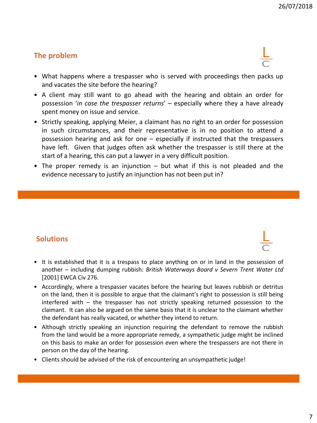## **The problem**



- What happens where a trespasser who is served with proceedings then packs up and vacates the site before the hearing?
- A client may still want to go ahead with the hearing and obtain an order for possession '*in case the trespasser returns*' – especially where they a have already spent money on issue and service.
- Strictly speaking, applying Meier, a claimant has no right to an order for possession in such circumstances, and their representative is in no position to attend a possession hearing and ask for one – especially if instructed that the trespassers have left. Given that judges often ask whether the trespasser is still there at the start of a hearing, this can put a lawyer in a very difficult position.
- The proper remedy is an injunction but what if this is not pleaded and the evidence necessary to justify an injunction has not been put in?

### **Solutions**

- It is established that it is a trespass to place anything on or in land in the possession of another – including dumping rubbish: *British Waterways Board v Severn Trent Water Ltd* [2001] EWCA Civ 276.
- Accordingly, where a trespasser vacates before the hearing but leaves rubbish or detritus on the land, then it is possible to argue that the claimant's right to possession is still being interfered with – the trespasser has not strictly speaking returned possession to the claimant. It can also be argued on the same basis that it is unclear to the claimant whether the defendant has really vacated, or whether they intend to return.
- Although strictly speaking an injunction requiring the defendant to remove the rubbish from the land would be a more appropriate remedy, a sympathetic judge might be inclined on this basis to make an order for possession even where the trespassers are not there in person on the day of the hearing.
- Clients should be advised of the risk of encountering an unsympathetic judge!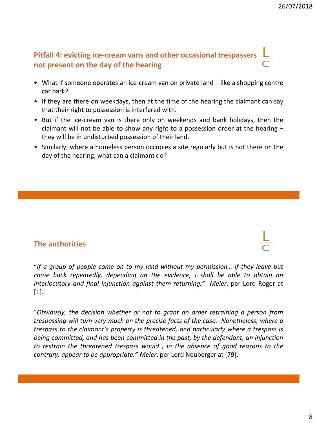## **Pitfall 4: evicting ice-cream vans and other occasional trespassers not present on the day of the hearing**

- What if someone operates an ice-cream van on private land like a shopping centre car park?
- If they are there on weekdays, then at the time of the hearing the claimant can say that their right to possession is interfered with.
- But if the ice-cream van is there only on weekends and bank holidays, then the claimant will not be able to show any right to a possession order at the hearing – they will be in undisturbed possession of their land.
- Similarly, where a homeless person occupies a site regularly but is not there on the day of the hearing, what can a claimant do?

## **The authorities**

"*If a group of people come on to my land without my permission… if they leave but come back repeatedly, depending on the evidence, I shall be able to obtain an interlocutory and final injunction against them returning." Meier*, per Lord Roger at [1].

"*Obviously, the decision whether or not to grant an order retraining a person from trespassing will turn very much on the precise facts of the case. Nonetheless, where a trespass to the claimant's property is threatened, and particularly where a trespass is being committed, and has been committed in the past, by the defendant, an injunction to restrain the threatened trespass would , in the absence of good reasons to the contrary, appear to be appropriate." Meier*, per Lord Neuberger at [79].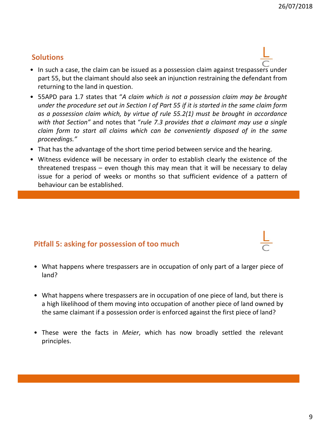## **Solutions**

- In such a case, the claim can be issued as a possession claim against trespassers under part 55, but the claimant should also seek an injunction restraining the defendant from returning to the land in question.
- 55APD para 1.7 states that "*A claim which is not a possession claim may be brought* under the procedure set out in Section I of Part 55 if it is started in the same claim form *as a possession claim which, by virtue of rule 55.2(1) must be brought in accordance with that Section"* and notes that "*rule 7.3 provides that a claimant may use a single claim form to start all claims which can be conveniently disposed of in the same proceedings."*
- That has the advantage of the short time period between service and the hearing.
- Witness evidence will be necessary in order to establish clearly the existence of the threatened trespass – even though this may mean that it will be necessary to delay issue for a period of weeks or months so that sufficient evidence of a pattern of behaviour can be established.

## **Pitfall 5: asking for possession of too much**

- What happens where trespassers are in occupation of only part of a larger piece of land?
- What happens where trespassers are in occupation of one piece of land, but there is a high likelihood of them moving into occupation of another piece of land owned by the same claimant if a possession order is enforced against the first piece of land?
- These were the facts in *Meier*, which has now broadly settled the relevant principles.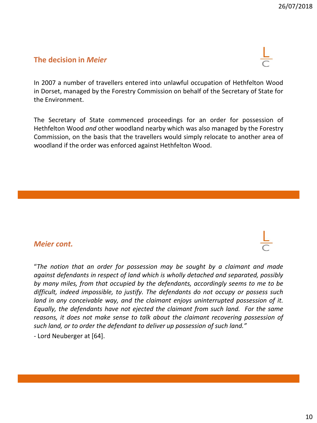### **The decision in** *Meier*



In 2007 a number of travellers entered into unlawful occupation of Hethfelton Wood in Dorset, managed by the Forestry Commission on behalf of the Secretary of State for the Environment.

The Secretary of State commenced proceedings for an order for possession of Hethfelton Wood *and* other woodland nearby which was also managed by the Forestry Commission, on the basis that the travellers would simply relocate to another area of woodland if the order was enforced against Hethfelton Wood.

### *Meier cont.*

"*The notion that an order for possession may be sought by a claimant and made against defendants in respect of land which is wholly detached and separated, possibly by many miles, from that occupied by the defendants, accordingly seems to me to be difficult, indeed impossible, to justify. The defendants do not occupy or possess such land in any conceivable way, and the claimant enjoys uninterrupted possession of it. Equally, the defendants have not ejected the claimant from such land. For the same reasons, it does not make sense to talk about the claimant recovering possession of such land, or to order the defendant to deliver up possession of such land."*

*-* Lord Neuberger at [64].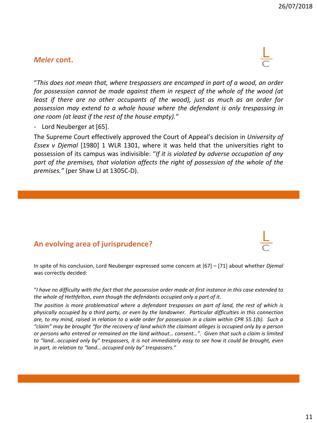#### *Meier* **cont.**



"*This does not mean that, where trespassers are encamped in part of a wood, an order for possession cannot be made against them in respect of the whole of the wood (at least if there are no other occupants of the wood), just as much as an order for possession may extend to a whole house where the defendant is only trespassing in one room (at least if the rest of the house empty)."*

- Lord Neuberger at [65].

The Supreme Court effectively approved the Court of Appeal's decision in *University of Essex v Djemal* [1980] 1 WLR 1301, where it was held that the universities right to possession of its campus was indivisible: "*If it is violated by adverse occupation of any part of the premises, that violation affects the right of possession of the whole of the premises."* (per Shaw LJ at 1305C-D).

## **An evolving area of jurisprudence?**

In spite of his conclusion, Lord Neuberger expressed some concern at [67] – [71] about whether *Djemal* was correctly decided:

"I have no difficulty with the fact that the possession order made at first instance in this case extended to *the whole of Hethfelton, even though the defendants occupied only a part of it.*

The position is more problematical where a defendant trespasses on part of land, the rest of which is *physically occupied by a third party, or even by the landowner. Particular difficulties in this connection* are, to my mind, raised in relation to a wide order for possession in a claim within CPR 55.1(b). Such a "claim" may be brought "for the recovery of land which the claimant alleges is occupied only by a person or persons who entered or remained on the land without... consent...". Given that such a claim is limited to "land...occupied only by" trespassers, it is not immediately easy to see how it could be brought, even *in part, in relation to "land… occupied only by" trespassers."*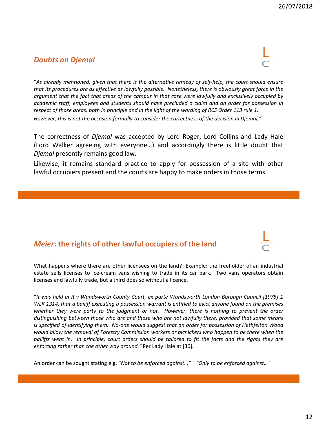### *Doubts on Djemal*



"*As already mentioned, given that there is the alternative remedy of self-help, the court should ensure* that its procedures are as effective as lawfully possible. Nonetheless, there is obviously great force in the argument that the fact that areas of the campus in that case were lawfully and exclusively occupied by *academic staff, employees and students should have precluded a claim and an order for possession in* respect of those areas, both in principle and in the light of the wording of RCS Order 113 rule 1. *However, this is not the occasion formally to consider the correctness of the decision in Djemal,"*

The correctness of *Djemal* was accepted by Lord Roger, Lord Collins and Lady Hale (Lord Walker agreeing with everyone…) and accordingly there is little doubt that *Djemal* presently remains good law.

Likewise, it remains standard practice to apply for possession of a site with other lawful occupiers present and the courts are happy to make orders in those terms.

## *Meier***: the rights of other lawful occupiers of the land**

What happens where there are other licensees on the land? Example: the freeholder of an industrial estate sells licenses to ice-cream vans wishing to trade in its car park. Two vans operators obtain licenses and lawfully trade, but a third does so without a licence.

"*It was held in R v Wandsworth County Court, ex parte Wandsworth London Borough Council [1975] 1* WLR 1314, that a bailiff executing a possession warrant is entitled to evict anyone found on the premises *whether they were party to the judgment or not. However, there is nothing to prevent the order distinguishing between those who are and those who are not lawfully there, provided that some means is specified of identifying them. No-one would suggest that an order for possession of Hethfelton Wood would allow the removal of Forestry Commission workers or picnickers who happen to be there when the* bailiffs went in. In principle, court orders should be tailored to fit the facts and the rights they are *enforcing rather than the other way around."* Per Lady Hale at [36].

An order can be sought stating e.g. "*Not to be enforced against…" "Only to be enforced against…"*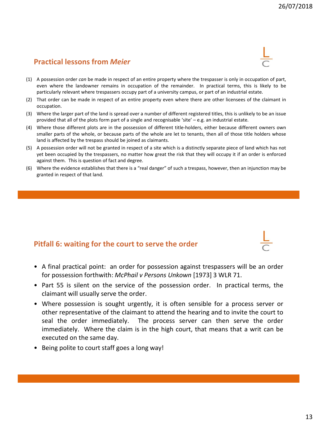## **Practical lessons from** *Meier*



- (1) A possession order *can* be made in respect of an entire property where the trespasser is only in occupation of part, even where the landowner remains in occupation of the remainder. In practical terms, this is likely to be particularly relevant where trespassers occupy part of a university campus, or part of an industrial estate.
- (2) That order can be made in respect of an entire property even where there are other licensees of the claimant in occupation.
- (3) Where the larger part of the land is spread over a number of different registered titles, this is unlikely to be an issue provided that all of the plots form part of a single and recognisable 'site' – e.g. an industrial estate.
- (4) Where those different plots are in the possession of different title-holders, either because different owners own smaller parts of the whole, or because parts of the whole are let to tenants, then all of those title holders whose land is affected by the trespass should be joined as claimants.
- (5) A possession order will not be granted in respect of a site which is a distinctly separate piece of land which has not yet been occupied by the trespassers, no matter how great the risk that they will occupy it if an order is enforced against them. This is question of fact and degree.
- (6) Where the evidence establishes that there is a "real danger" of such a trespass, however, then an injunction may be granted in respect of that land.

### **Pitfall 6: waiting for the court to serve the order**

- A final practical point: an order for possession against trespassers will be an order for possession forthwith: *McPhail v Persons Unkown* [1973] 3 WLR 71.
- Part 55 is silent on the service of the possession order. In practical terms, the claimant will usually serve the order.
- Where possession is sought urgently, it is often sensible for a process server or other representative of the claimant to attend the hearing and to invite the court to seal the order immediately. The process server can then serve the order immediately. Where the claim is in the high court, that means that a writ can be executed on the same day.
- Being polite to court staff goes a long way!